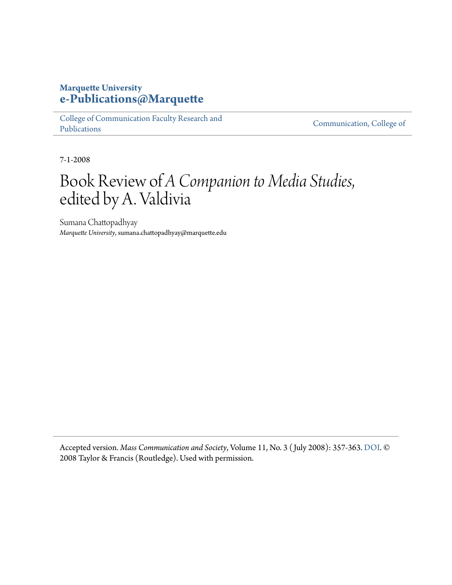## **Marquette University [e-Publications@Marquette](https://epublications.marquette.edu)**

[College of Communication Faculty Research and](https://epublications.marquette.edu/comm_fac) [Publications](https://epublications.marquette.edu/comm_fac)

[Communication, College of](https://epublications.marquette.edu/communication)

7-1-2008

## Book Review of *A Companion to Media Studies*, edited by A. Valdivia

Sumana Chattopadhyay *Marquette University*, sumana.chattopadhyay@marquette.edu

Accepted version. *Mass Communication and Society*, Volume 11, No. 3 ( July 2008): 357-363. [DOI.](http://dx.doi.org/10.1080/15205430701791014) © 2008 Taylor & Francis (Routledge). Used with permission.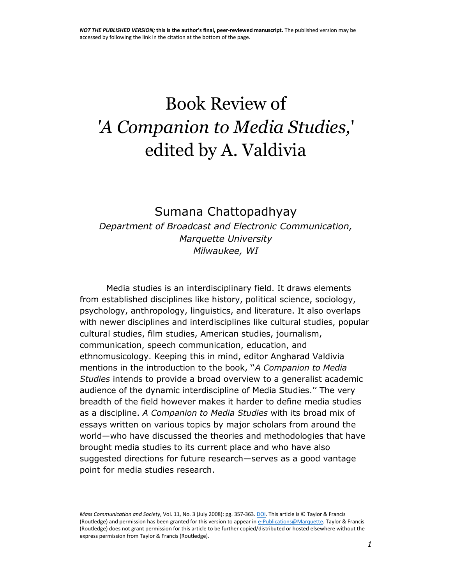# Book Review of *'A Companion to Media Studies,*' edited by A. Valdivia

## Sumana Chattopadhyay *Department of Broadcast and Electronic Communication, Marquette University Milwaukee, WI*

Media studies is an interdisciplinary field. It draws elements from established disciplines like history, political science, sociology, psychology, anthropology, linguistics, and literature. It also overlaps with newer disciplines and interdisciplines like cultural studies, popular cultural studies, film studies, American studies, journalism, communication, speech communication, education, and ethnomusicology. Keeping this in mind, editor Angharad Valdivia mentions in the introduction to the book, ''*A Companion to Media Studies* intends to provide a broad overview to a generalist academic audience of the dynamic interdiscipline of Media Studies.'' The very breadth of the field however makes it harder to define media studies as a discipline. *A Companion to Media Studies* with its broad mix of essays written on various topics by major scholars from around the world—who have discussed the theories and methodologies that have brought media studies to its current place and who have also suggested directions for future research—serves as a good vantage point for media studies research.

*Mass Communication and Society*, Vol. 11, No. 3 (July 2008): pg. 357-363[. DOI.](http://dx.doi.org/10.1080/15205430701791014) This article is © Taylor & Francis (Routledge) and permission has been granted for this version to appear i[n e-Publications@Marquette.](http://epublications.marquette.edu/) Taylor & Francis (Routledge) does not grant permission for this article to be further copied/distributed or hosted elsewhere without the express permission from Taylor & Francis (Routledge).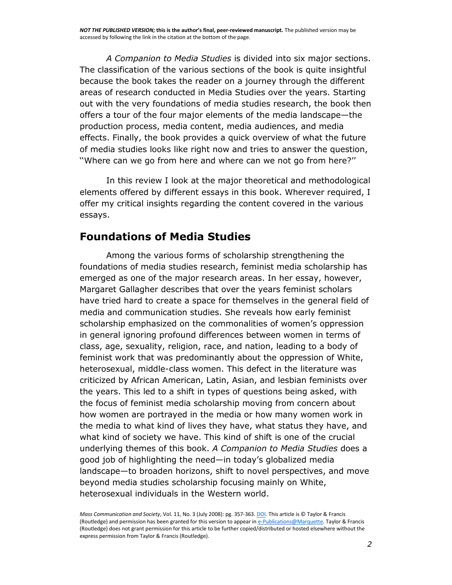*A Companion to Media Studies* is divided into six major sections. The classification of the various sections of the book is quite insightful because the book takes the reader on a journey through the different areas of research conducted in Media Studies over the years. Starting out with the very foundations of media studies research, the book then offers a tour of the four major elements of the media landscape—the production process, media content, media audiences, and media effects. Finally, the book provides a quick overview of what the future of media studies looks like right now and tries to answer the question, ''Where can we go from here and where can we not go from here?''

In this review I look at the major theoretical and methodological elements offered by different essays in this book. Wherever required, I offer my critical insights regarding the content covered in the various essays.

## **Foundations of Media Studies**

Among the various forms of scholarship strengthening the foundations of media studies research, feminist media scholarship has emerged as one of the major research areas. In her essay, however, Margaret Gallagher describes that over the years feminist scholars have tried hard to create a space for themselves in the general field of media and communication studies. She reveals how early feminist scholarship emphasized on the commonalities of women's oppression in general ignoring profound differences between women in terms of class, age, sexuality, religion, race, and nation, leading to a body of feminist work that was predominantly about the oppression of White, heterosexual, middle-class women. This defect in the literature was criticized by African American, Latin, Asian, and lesbian feminists over the years. This led to a shift in types of questions being asked, with the focus of feminist media scholarship moving from concern about how women are portrayed in the media or how many women work in the media to what kind of lives they have, what status they have, and what kind of society we have. This kind of shift is one of the crucial underlying themes of this book. *A Companion to Media Studies* does a good job of highlighting the need—in today's globalized media landscape—to broaden horizons, shift to novel perspectives, and move beyond media studies scholarship focusing mainly on White, heterosexual individuals in the Western world.

*Mass Communication and Society*, Vol. 11, No. 3 (July 2008): pg. 357-363[. DOI.](http://dx.doi.org/10.1080/15205430701791014) This article is © Taylor & Francis (Routledge) and permission has been granted for this version to appear i[n e-Publications@Marquette.](http://epublications.marquette.edu/) Taylor & Francis (Routledge) does not grant permission for this article to be further copied/distributed or hosted elsewhere without the express permission from Taylor & Francis (Routledge).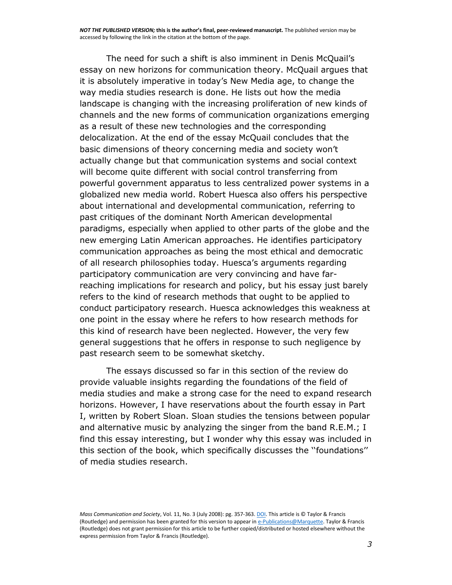The need for such a shift is also imminent in Denis McQuail's essay on new horizons for communication theory. McQuail argues that it is absolutely imperative in today's New Media age, to change the way media studies research is done. He lists out how the media landscape is changing with the increasing proliferation of new kinds of channels and the new forms of communication organizations emerging as a result of these new technologies and the corresponding delocalization. At the end of the essay McQuail concludes that the basic dimensions of theory concerning media and society won't actually change but that communication systems and social context will become quite different with social control transferring from powerful government apparatus to less centralized power systems in a globalized new media world. Robert Huesca also offers his perspective about international and developmental communication, referring to past critiques of the dominant North American developmental paradigms, especially when applied to other parts of the globe and the new emerging Latin American approaches. He identifies participatory communication approaches as being the most ethical and democratic of all research philosophies today. Huesca's arguments regarding participatory communication are very convincing and have farreaching implications for research and policy, but his essay just barely refers to the kind of research methods that ought to be applied to conduct participatory research. Huesca acknowledges this weakness at one point in the essay where he refers to how research methods for this kind of research have been neglected. However, the very few general suggestions that he offers in response to such negligence by past research seem to be somewhat sketchy.

The essays discussed so far in this section of the review do provide valuable insights regarding the foundations of the field of media studies and make a strong case for the need to expand research horizons. However, I have reservations about the fourth essay in Part I, written by Robert Sloan. Sloan studies the tensions between popular and alternative music by analyzing the singer from the band R.E.M.; I find this essay interesting, but I wonder why this essay was included in this section of the book, which specifically discusses the ''foundations'' of media studies research.

*Mass Communication and Society*, Vol. 11, No. 3 (July 2008): pg. 357-363[. DOI.](http://dx.doi.org/10.1080/15205430701791014) This article is © Taylor & Francis (Routledge) and permission has been granted for this version to appear i[n e-Publications@Marquette.](http://epublications.marquette.edu/) Taylor & Francis (Routledge) does not grant permission for this article to be further copied/distributed or hosted elsewhere without the express permission from Taylor & Francis (Routledge).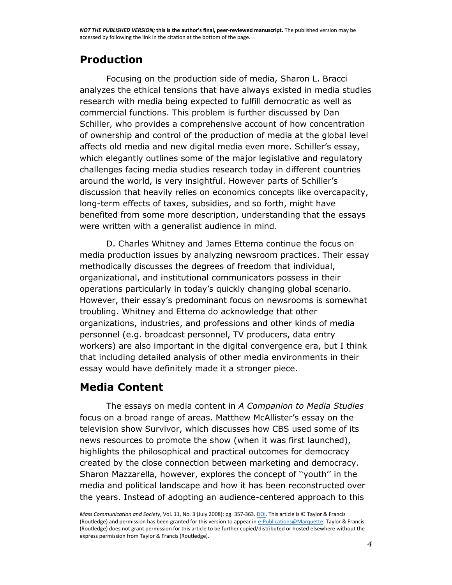## **Production**

Focusing on the production side of media, Sharon L. Bracci analyzes the ethical tensions that have always existed in media studies research with media being expected to fulfill democratic as well as commercial functions. This problem is further discussed by Dan Schiller, who provides a comprehensive account of how concentration of ownership and control of the production of media at the global level affects old media and new digital media even more. Schiller's essay, which elegantly outlines some of the major legislative and regulatory challenges facing media studies research today in different countries around the world, is very insightful. However parts of Schiller's discussion that heavily relies on economics concepts like overcapacity, long-term effects of taxes, subsidies, and so forth, might have benefited from some more description, understanding that the essays were written with a generalist audience in mind.

D. Charles Whitney and James Ettema continue the focus on media production issues by analyzing newsroom practices. Their essay methodically discusses the degrees of freedom that individual, organizational, and institutional communicators possess in their operations particularly in today's quickly changing global scenario. However, their essay's predominant focus on newsrooms is somewhat troubling. Whitney and Ettema do acknowledge that other organizations, industries, and professions and other kinds of media personnel (e.g. broadcast personnel, TV producers, data entry workers) are also important in the digital convergence era, but I think that including detailed analysis of other media environments in their essay would have definitely made it a stronger piece.

## **Media Content**

The essays on media content in *A Companion to Media Studies*  focus on a broad range of areas. Matthew McAllister's essay on the television show Survivor, which discusses how CBS used some of its news resources to promote the show (when it was first launched), highlights the philosophical and practical outcomes for democracy created by the close connection between marketing and democracy. Sharon Mazzarella, however, explores the concept of ''youth'' in the media and political landscape and how it has been reconstructed over the years. Instead of adopting an audience-centered approach to this

*Mass Communication and Society*, Vol. 11, No. 3 (July 2008): pg. 357-363[. DOI.](http://dx.doi.org/10.1080/15205430701791014) This article is © Taylor & Francis (Routledge) and permission has been granted for this version to appear i[n e-Publications@Marquette.](http://epublications.marquette.edu/) Taylor & Francis (Routledge) does not grant permission for this article to be further copied/distributed or hosted elsewhere without the express permission from Taylor & Francis (Routledge).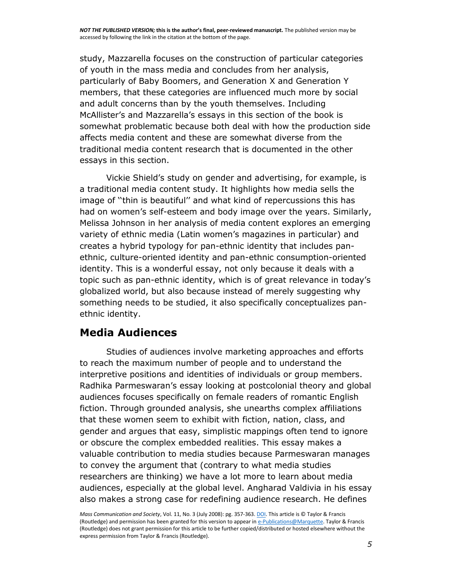study, Mazzarella focuses on the construction of particular categories of youth in the mass media and concludes from her analysis, particularly of Baby Boomers, and Generation X and Generation Y members, that these categories are influenced much more by social and adult concerns than by the youth themselves. Including McAllister's and Mazzarella's essays in this section of the book is somewhat problematic because both deal with how the production side affects media content and these are somewhat diverse from the traditional media content research that is documented in the other essays in this section.

Vickie Shield's study on gender and advertising, for example, is a traditional media content study. It highlights how media sells the image of ''thin is beautiful'' and what kind of repercussions this has had on women's self-esteem and body image over the years. Similarly, Melissa Johnson in her analysis of media content explores an emerging variety of ethnic media (Latin women's magazines in particular) and creates a hybrid typology for pan-ethnic identity that includes panethnic, culture-oriented identity and pan-ethnic consumption-oriented identity. This is a wonderful essay, not only because it deals with a topic such as pan-ethnic identity, which is of great relevance in today's globalized world, but also because instead of merely suggesting why something needs to be studied, it also specifically conceptualizes panethnic identity.

## **Media Audiences**

Studies of audiences involve marketing approaches and efforts to reach the maximum number of people and to understand the interpretive positions and identities of individuals or group members. Radhika Parmeswaran's essay looking at postcolonial theory and global audiences focuses specifically on female readers of romantic English fiction. Through grounded analysis, she unearths complex affiliations that these women seem to exhibit with fiction, nation, class, and gender and argues that easy, simplistic mappings often tend to ignore or obscure the complex embedded realities. This essay makes a valuable contribution to media studies because Parmeswaran manages to convey the argument that (contrary to what media studies researchers are thinking) we have a lot more to learn about media audiences, especially at the global level. Angharad Valdivia in his essay also makes a strong case for redefining audience research. He defines

*Mass Communication and Society*, Vol. 11, No. 3 (July 2008): pg. 357-363[. DOI.](http://dx.doi.org/10.1080/15205430701791014) This article is © Taylor & Francis (Routledge) and permission has been granted for this version to appear i[n e-Publications@Marquette.](http://epublications.marquette.edu/) Taylor & Francis (Routledge) does not grant permission for this article to be further copied/distributed or hosted elsewhere without the express permission from Taylor & Francis (Routledge).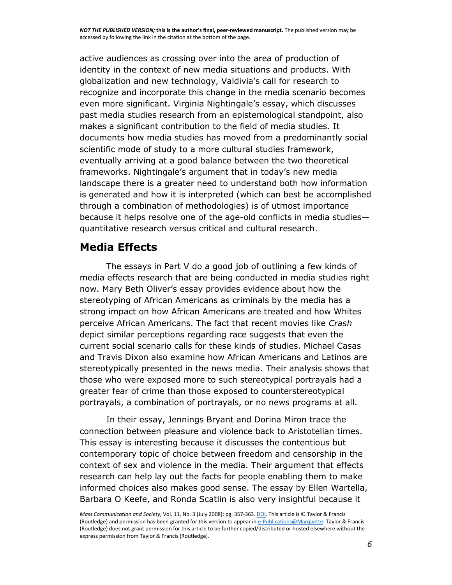active audiences as crossing over into the area of production of identity in the context of new media situations and products. With globalization and new technology, Valdivia's call for research to recognize and incorporate this change in the media scenario becomes even more significant. Virginia Nightingale's essay, which discusses past media studies research from an epistemological standpoint, also makes a significant contribution to the field of media studies. It documents how media studies has moved from a predominantly social scientific mode of study to a more cultural studies framework, eventually arriving at a good balance between the two theoretical frameworks. Nightingale's argument that in today's new media landscape there is a greater need to understand both how information is generated and how it is interpreted (which can best be accomplished through a combination of methodologies) is of utmost importance because it helps resolve one of the age-old conflicts in media studies quantitative research versus critical and cultural research.

## **Media Effects**

The essays in Part V do a good job of outlining a few kinds of media effects research that are being conducted in media studies right now. Mary Beth Oliver's essay provides evidence about how the stereotyping of African Americans as criminals by the media has a strong impact on how African Americans are treated and how Whites perceive African Americans. The fact that recent movies like *Crash*  depict similar perceptions regarding race suggests that even the current social scenario calls for these kinds of studies. Michael Casas and Travis Dixon also examine how African Americans and Latinos are stereotypically presented in the news media. Their analysis shows that those who were exposed more to such stereotypical portrayals had a greater fear of crime than those exposed to counterstereotypical portrayals, a combination of portrayals, or no news programs at all.

In their essay, Jennings Bryant and Dorina Miron trace the connection between pleasure and violence back to Aristotelian times. This essay is interesting because it discusses the contentious but contemporary topic of choice between freedom and censorship in the context of sex and violence in the media. Their argument that effects research can help lay out the facts for people enabling them to make informed choices also makes good sense. The essay by Ellen Wartella, Barbara O Keefe, and Ronda Scatlin is also very insightful because it

*Mass Communication and Society*, Vol. 11, No. 3 (July 2008): pg. 357-363[. DOI.](http://dx.doi.org/10.1080/15205430701791014) This article is © Taylor & Francis (Routledge) and permission has been granted for this version to appear i[n e-Publications@Marquette.](http://epublications.marquette.edu/) Taylor & Francis (Routledge) does not grant permission for this article to be further copied/distributed or hosted elsewhere without the express permission from Taylor & Francis (Routledge).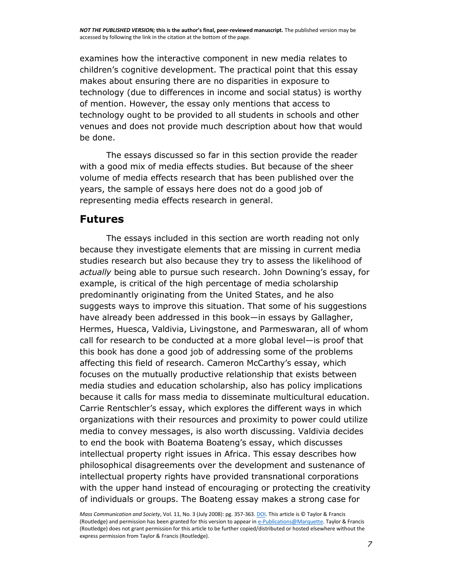examines how the interactive component in new media relates to children's cognitive development. The practical point that this essay makes about ensuring there are no disparities in exposure to technology (due to differences in income and social status) is worthy of mention. However, the essay only mentions that access to technology ought to be provided to all students in schools and other venues and does not provide much description about how that would be done.

The essays discussed so far in this section provide the reader with a good mix of media effects studies. But because of the sheer volume of media effects research that has been published over the years, the sample of essays here does not do a good job of representing media effects research in general.

#### **Futures**

The essays included in this section are worth reading not only because they investigate elements that are missing in current media studies research but also because they try to assess the likelihood of *actually* being able to pursue such research. John Downing's essay, for example, is critical of the high percentage of media scholarship predominantly originating from the United States, and he also suggests ways to improve this situation. That some of his suggestions have already been addressed in this book—in essays by Gallagher, Hermes, Huesca, Valdivia, Livingstone, and Parmeswaran, all of whom call for research to be conducted at a more global level—is proof that this book has done a good job of addressing some of the problems affecting this field of research. Cameron McCarthy's essay, which focuses on the mutually productive relationship that exists between media studies and education scholarship, also has policy implications because it calls for mass media to disseminate multicultural education. Carrie Rentschler's essay, which explores the different ways in which organizations with their resources and proximity to power could utilize media to convey messages, is also worth discussing. Valdivia decides to end the book with Boatema Boateng's essay, which discusses intellectual property right issues in Africa. This essay describes how philosophical disagreements over the development and sustenance of intellectual property rights have provided transnational corporations with the upper hand instead of encouraging or protecting the creativity of individuals or groups. The Boateng essay makes a strong case for

*Mass Communication and Society*, Vol. 11, No. 3 (July 2008): pg. 357-363[. DOI.](http://dx.doi.org/10.1080/15205430701791014) This article is © Taylor & Francis (Routledge) and permission has been granted for this version to appear i[n e-Publications@Marquette.](http://epublications.marquette.edu/) Taylor & Francis (Routledge) does not grant permission for this article to be further copied/distributed or hosted elsewhere without the express permission from Taylor & Francis (Routledge).